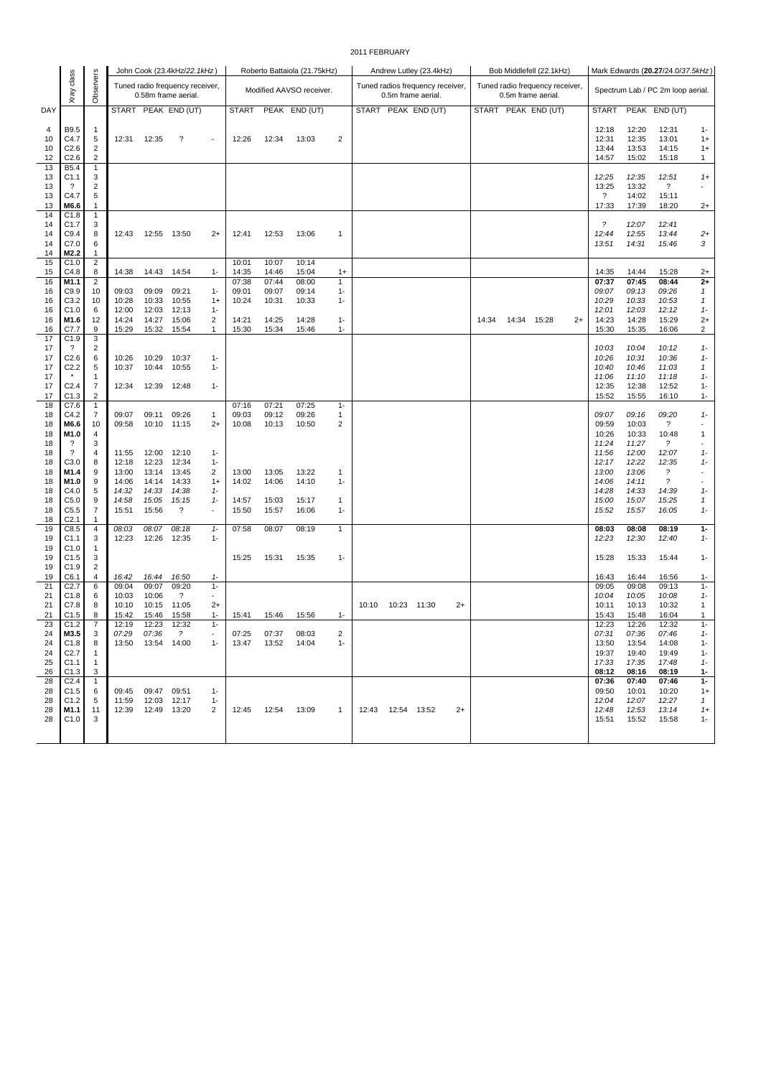## 2011 FEBRUARY

|          |                                      |                                         |                |                     | John Cook (23.4kHz/22.1kHz)                            |                          |                |                | Roberto Battaiola (21.75kHz) |                      |       |                     | Andrew Lutley (23.4kHz)                                |      |       |       | Bob Middlefell (22.1kHz)                              |         |                |                | Mark Edwards (20.27/24.0/37.5kHz) |              |
|----------|--------------------------------------|-----------------------------------------|----------------|---------------------|--------------------------------------------------------|--------------------------|----------------|----------------|------------------------------|----------------------|-------|---------------------|--------------------------------------------------------|------|-------|-------|-------------------------------------------------------|---------|----------------|----------------|-----------------------------------|--------------|
|          | Xray class                           | Observers                               |                |                     | Tuned radio frequency receiver,<br>0.58m frame aerial. |                          |                |                | Modified AAVSO receiver.     |                      |       |                     | Tuned radios frequency receiver,<br>0.5m frame aerial. |      |       |       | Tuned radio frequency receiver,<br>0.5m frame aerial. |         |                |                | Spectrum Lab / PC 2m loop aerial. |              |
| DAY      |                                      |                                         |                |                     | START PEAK END (UT)                                    |                          | <b>START</b>   |                | PEAK END (UT)                |                      |       |                     | START PEAK END (UT)                                    |      |       |       | START PEAK END (UT)                                   |         | <b>START</b>   |                | PEAK END (UT)                     |              |
| 4        | B9.5                                 | 1                                       |                |                     |                                                        |                          |                |                |                              |                      |       |                     |                                                        |      |       |       |                                                       |         | 12:18          | 12:20          | 12:31                             | $1 -$        |
| 10       | C4.7                                 | 5                                       | 12:31          | 12:35               | ?                                                      | $\sim$                   | 12:26          | 12:34          | 13:03                        | 2                    |       |                     |                                                        |      |       |       |                                                       |         | 12:31          | 12:35          | 13:01                             | $1+$         |
| 10<br>12 | C2.6<br>C2.6                         | $\overline{2}$<br>2                     |                |                     |                                                        |                          |                |                |                              |                      |       |                     |                                                        |      |       |       |                                                       |         | 13:44<br>14:57 | 13:53<br>15:02 | 14:15<br>15:18                    | $1+$<br>1    |
| 13       | B5.4                                 | $\mathbf{1}$                            |                |                     |                                                        |                          |                |                |                              |                      |       |                     |                                                        |      |       |       |                                                       |         |                |                |                                   |              |
| 13       | C1.1                                 | 3                                       |                |                     |                                                        |                          |                |                |                              |                      |       |                     |                                                        |      |       |       |                                                       |         | 12:25          | 12:35          | 12:51                             | $1+$         |
| 13       | ?                                    | 2                                       |                |                     |                                                        |                          |                |                |                              |                      |       |                     |                                                        |      |       |       |                                                       |         | 13:25          | 13:32          | $\boldsymbol{\mathcal{P}}$        |              |
| 13<br>13 | C4.7<br>M6.6                         | 5<br>1                                  |                |                     |                                                        |                          |                |                |                              |                      |       |                     |                                                        |      |       |       |                                                       |         | ?<br>17:33     | 14:02<br>17:39 | 15:11<br>18:20                    | $2+$         |
| 14       | C1.8                                 | 1                                       |                |                     |                                                        |                          |                |                |                              |                      |       |                     |                                                        |      |       |       |                                                       |         |                |                |                                   |              |
| 14       | C1.7                                 | 3                                       |                |                     |                                                        |                          |                |                |                              |                      |       |                     |                                                        |      |       |       |                                                       |         | $\tilde{?}$    | 12:07          | 12:41                             |              |
| 14<br>14 | C9.4<br>C7.0                         | 8<br>6                                  | 12:43          | 12:55 13:50         |                                                        | $2+$                     | 12:41          | 12:53          | 13:06                        | $\mathbf{1}$         |       |                     |                                                        |      |       |       |                                                       |         | 12:44<br>13:51 | 12:55<br>14:31 | 13:44<br>15:46                    | $2+$<br>3    |
| 14       | M2.2                                 | 1                                       |                |                     |                                                        |                          |                |                |                              |                      |       |                     |                                                        |      |       |       |                                                       |         |                |                |                                   |              |
| 15       | C1.0                                 | $\overline{\mathbf{c}}$                 |                |                     |                                                        |                          | 10:01          | 10:07          | 10:14                        |                      |       |                     |                                                        |      |       |       |                                                       |         |                |                |                                   |              |
| 15<br>16 | C4.8<br>M1.1                         | 8<br>2                                  | 14:38          | 14:43               | 14:54                                                  | $1 -$                    | 14:35<br>07:38 | 14:46<br>07:44 | 15:04<br>08:00               | $1+$<br>$\mathbf{1}$ |       |                     |                                                        |      |       |       |                                                       |         | 14:35<br>07:37 | 14:44<br>07:45 | 15:28<br>08:44                    | $2+$<br>$2+$ |
| 16       | C9.9                                 | 10                                      | 09:03          | 09:09               | 09:21                                                  | $1 -$                    | 09:01          | 09:07          | 09:14                        | $1 -$                |       |                     |                                                        |      |       |       |                                                       |         | 09:07          | 09:13          | 09:26                             | 1            |
| 16       | C3.2                                 | 10                                      | 10:28          | 10:33               | 10:55                                                  | $1+$                     | 10:24          | 10:31          | 10:33                        | $1 -$                |       |                     |                                                        |      |       |       |                                                       |         | 10:29          | 10:33          | 10:53                             | 1            |
| 16       | C1.0                                 | 6                                       | 12:00          | 12:03               | 12:13                                                  | $1 -$                    |                |                |                              |                      |       |                     |                                                        |      |       |       |                                                       |         | 12:01          | 12:03          | 12:12                             | $1 -$        |
| 16<br>16 | M1.6<br>C7.7                         | 12<br>9                                 | 14:24<br>15:29 | 14:27<br>15:32      | 15:06<br>15:54                                         | 2<br>1                   | 14:21<br>15:30 | 14:25<br>15:34 | 14:28<br>15:46               | $1 -$<br>$1 -$       |       |                     |                                                        |      | 14:34 | 14:34 | 15:28                                                 | $^{2+}$ | 14:23<br>15:30 | 14:28<br>15:35 | 15:29<br>16:06                    | $2+$<br>2    |
| 17       | C1.9                                 | 3                                       |                |                     |                                                        |                          |                |                |                              |                      |       |                     |                                                        |      |       |       |                                                       |         |                |                |                                   |              |
| 17       | $\overline{\cdot}$                   | 2                                       |                |                     |                                                        |                          |                |                |                              |                      |       |                     |                                                        |      |       |       |                                                       |         | 10:03          | 10:04          | 10:12                             | $1 -$        |
| 17<br>17 | C <sub>2.6</sub><br>C <sub>2.2</sub> | 6<br>5                                  | 10:26<br>10:37 | 10:29<br>10:44      | 10:37<br>10:55                                         | $1 -$<br>$1 -$           |                |                |                              |                      |       |                     |                                                        |      |       |       |                                                       |         | 10:26<br>10:40 | 10:31<br>10:46 | 10:36<br>11:03                    | $1 -$<br>1   |
| 17       |                                      | 1                                       |                |                     |                                                        |                          |                |                |                              |                      |       |                     |                                                        |      |       |       |                                                       |         | 11:06          | 11:10          | 11:18                             | $1 -$        |
| 17       | C <sub>2.4</sub>                     | $\overline{7}$                          | 12:34          | 12:39               | 12:48                                                  | $1 -$                    |                |                |                              |                      |       |                     |                                                        |      |       |       |                                                       |         | 12:35          | 12:38          | 12:52                             | $1 -$        |
| 17<br>18 | C1.3<br>C7.6                         | $\overline{\mathbf{c}}$<br>$\mathbf{1}$ |                |                     |                                                        |                          | 07:16          | 07:21          | 07:25                        | $1 -$                |       |                     |                                                        |      |       |       |                                                       |         | 15:52          | 15:55          | 16:10                             | $1 -$        |
| 18       | C4.2                                 | 7                                       | 09:07          | 09:11               | 09:26                                                  | $\mathbf{1}$             | 09:03          | 09:12          | 09:26                        | 1                    |       |                     |                                                        |      |       |       |                                                       |         | 09:07          | 09:16          | 09:20                             | $1 -$        |
| 18       | M6.6                                 | 10                                      | 09:58          | 10:10               | 11:15                                                  | $2+$                     | 10:08          | 10:13          | 10:50                        | $\overline{2}$       |       |                     |                                                        |      |       |       |                                                       |         | 09:59          | 10:03          | $\overline{\phantom{0}}$          |              |
| 18       | M1.0                                 | 4                                       |                |                     |                                                        |                          |                |                |                              |                      |       |                     |                                                        |      |       |       |                                                       |         | 10:26          | 10:33          | 10:48                             | 1            |
| 18<br>18 | ?<br>?                               | 3<br>4                                  | 11:55          | 12:00               | 12:10                                                  | $1 -$                    |                |                |                              |                      |       |                     |                                                        |      |       |       |                                                       |         | 11:24<br>11:56 | 11:27<br>12:00 | $\overline{\phantom{a}}$<br>12:07 | $1 -$        |
| 18       | C3.0                                 | 8                                       | 12:18          | 12:23               | 12:34                                                  | $1 -$                    |                |                |                              |                      |       |                     |                                                        |      |       |       |                                                       |         | 12:17          | 12:22          | 12:35                             | $1 -$        |
| 18       | M1.4                                 | 9                                       | 13:00          | 13:14               | 13:45                                                  | 2                        | 13:00          | 13:05          | 13:22                        | 1                    |       |                     |                                                        |      |       |       |                                                       |         | 13:00          | 13:06          | $\tilde{?}$                       |              |
| 18<br>18 | M1.0<br>C4.0                         | 9<br>5                                  | 14:06<br>14:32 | 14:14<br>14:33      | 14:33<br>14:38                                         | $1+$<br>$1 -$            | 14:02          | 14:06          | 14:10                        | $1 -$                |       |                     |                                                        |      |       |       |                                                       |         | 14:06<br>14:28 | 14:11<br>14:33 | $\tilde{?}$<br>14:39              | $1 -$        |
| 18       | C <sub>5.0</sub>                     | 9                                       | 14:58          | 15:05               | 15:15                                                  | $1 -$                    | 14:57          | 15:03          | 15:17                        | 1                    |       |                     |                                                        |      |       |       |                                                       |         | 15:00          | 15:07          | 15:25                             | 1            |
| 18       | C5.5                                 | 7                                       | 15:51          | 15:56               | $\ddot{?}$                                             |                          | 15:50          | 15:57          | 16:06                        | $1 -$                |       |                     |                                                        |      |       |       |                                                       |         | 15:52          | 15:57          | 16:05                             | $1 -$        |
| 18<br>19 | C <sub>2.1</sub><br>C8.5             | 1<br>4                                  | 08:03          | 08:07               | 08:18                                                  | $1 -$                    | 07:58          | 08:07          | 08:19                        | $\mathbf{1}$         |       |                     |                                                        |      |       |       |                                                       |         | 08:03          | 08:08          | 08:19                             | $1-$         |
| 19       | C1.1                                 | 3                                       | 12:23          | 12:26               | 12:35                                                  | $1 -$                    |                |                |                              |                      |       |                     |                                                        |      |       |       |                                                       |         | 12:23          | 12:30          | 12:40                             | $1 -$        |
| 19       | C1.0                                 | 1                                       |                |                     |                                                        |                          |                |                |                              |                      |       |                     |                                                        |      |       |       |                                                       |         |                |                |                                   |              |
| 19       | C1.5                                 | 3                                       |                |                     |                                                        |                          | 15:25          | 15:31          | 15:35                        | $1 -$                |       |                     |                                                        |      |       |       |                                                       |         | 15:28          | 15:33          | 15:44                             | $1 -$        |
| 19<br>19 | C1.9<br>C6.1                         | 2<br>4                                  | 16:42          | 16:44               | 16:50                                                  | $1 -$                    |                |                |                              |                      |       |                     |                                                        |      |       |       |                                                       |         | 16:43          | 16:44          | 16:56                             | $1 -$        |
| 21       | C <sub>2.7</sub>                     | 6                                       | 09:04          | 09:07               | 09:20                                                  | $1 -$                    |                |                |                              |                      |       |                     |                                                        |      |       |       |                                                       |         | 09:05          | 09:08          | 09:13                             | $1 -$        |
| 21       | C1.8                                 | 6                                       | 10:03          | 10:06               | $\gamma$                                               | $\overline{\phantom{a}}$ |                |                |                              |                      |       |                     |                                                        |      |       |       |                                                       |         | 10:04          | 10:05          | 10:08                             | $1-$         |
| 21<br>21 | C7.8<br>C1.5                         | 8<br>8                                  | 10:10<br>15:42 | 10:15<br>15:46      | 11:05<br>15:58                                         | $2+$<br>$1 -$            | 15:41          | 15:46          | 15:56                        | $1 -$                | 10:10 | 10:23 11:30         |                                                        | 2+   |       |       |                                                       |         | 10:11<br>15:43 | 10:13<br>15:48 | 10:32<br>16:04                    | 1<br>1       |
| 23       | C1.2                                 | $\overline{7}$                          | 12:19          | 12:23               | 12:32                                                  | $1 -$                    |                |                |                              |                      |       |                     |                                                        |      |       |       |                                                       |         | 12:23          | 12:26          | 12:32                             | $1 -$        |
| 24       | M3.5                                 | 3                                       | 07:29          | 07:36               | ?                                                      |                          | 07:25          | 07:37          | 08:03                        | $\overline{2}$       |       |                     |                                                        |      |       |       |                                                       |         | 07:31          | 07:36          | 07:46                             | $1 -$        |
| 24<br>24 | C1.8<br>C <sub>2.7</sub>             | 8<br>-1                                 |                | 13:50  13:54  14:00 |                                                        | $1 -$                    | 13:47          |                | 13:52  14:04                 | $1 -$                |       |                     |                                                        |      |       |       |                                                       |         | 13:50<br>19:37 | 13:54<br>19:40 | 14:08<br>19:49                    | 1-<br>$1 -$  |
| 25       | C1.1                                 | $\mathbf{1}$                            |                |                     |                                                        |                          |                |                |                              |                      |       |                     |                                                        |      |       |       |                                                       |         | 17:33          | 17:35          | 17:48                             | 1-           |
| 26       | C1.3                                 | 3                                       |                |                     |                                                        |                          |                |                |                              |                      |       |                     |                                                        |      |       |       |                                                       |         | 08:12          | 08:16          | 08:19                             | $1 -$        |
| 28<br>28 | C <sub>2.4</sub>                     | $\mathbf{1}$                            |                | 09:45 09:47 09:51   |                                                        |                          |                |                |                              |                      |       |                     |                                                        |      |       |       |                                                       |         | 07:36<br>09:50 | 07:40          | 07:46                             | $1 -$        |
| 28       | C <sub>1.5</sub><br>C1.2             | 6<br>5                                  | 11:59          | 12:03 12:17         |                                                        | $1 -$<br>$1 -$           |                |                |                              |                      |       |                     |                                                        |      |       |       |                                                       |         | 12:04          | 10:01<br>12:07 | 10:20<br>12:27                    | $1+$<br>1    |
| 28       | M1.1                                 | 11                                      |                | 12:39  12:49  13:20 |                                                        | 2                        | 12:45  12:54   |                | 13:09                        | $\mathbf{1}$         |       | 12:43  12:54  13:52 |                                                        | $2+$ |       |       |                                                       |         | 12:48          | 12:53          | 13:14                             | $1+$         |
| 28       | C1.0                                 | 3                                       |                |                     |                                                        |                          |                |                |                              |                      |       |                     |                                                        |      |       |       |                                                       |         | 15:51          | 15:52          | 15:58                             | $1 -$        |
|          |                                      |                                         |                |                     |                                                        |                          |                |                |                              |                      |       |                     |                                                        |      |       |       |                                                       |         |                |                |                                   |              |
|          |                                      |                                         |                |                     |                                                        |                          |                |                |                              |                      |       |                     |                                                        |      |       |       |                                                       |         |                |                |                                   |              |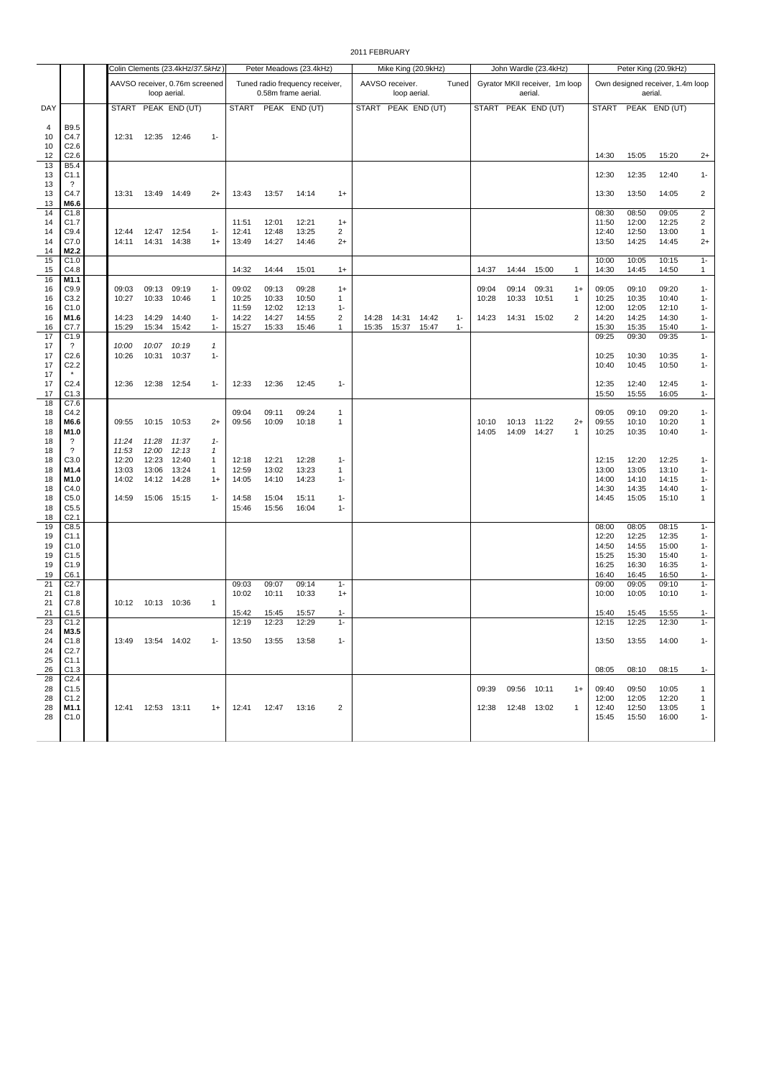2011 FEBRUARY

|               |                                        |                |                     | Colin Clements (23.4kHz/37.5kHz) |                   |                |                | Peter Meadows (23.4kHz)                                |                       |                     |                                 | Mike King (20.9kHz) |       |                |                | John Wardle (23.4kHz)                     |                      |                |                | Peter King (20.9kHz)                        |                     |
|---------------|----------------------------------------|----------------|---------------------|----------------------------------|-------------------|----------------|----------------|--------------------------------------------------------|-----------------------|---------------------|---------------------------------|---------------------|-------|----------------|----------------|-------------------------------------------|----------------------|----------------|----------------|---------------------------------------------|---------------------|
|               |                                        |                | loop aerial.        | AAVSO receiver, 0.76m screened   |                   |                |                | Tuned radio frequency receiver,<br>0.58m frame aerial. |                       |                     | AAVSO receiver.<br>loop aerial. |                     | Tuned |                |                | Gyrator MKII receiver, 1m loop<br>aerial. |                      |                |                | Own designed receiver, 1.4m loop<br>aerial. |                     |
| DAY           |                                        |                |                     | START PEAK END (UT)              |                   | <b>START</b>   |                | PEAK END (UT)                                          |                       | START PEAK END (UT) |                                 |                     |       |                |                | START PEAK END (UT)                       |                      | <b>START</b>   |                | PEAK END (UT)                               |                     |
| 4<br>10<br>10 | B9.5<br>C4.7<br>C <sub>2.6</sub>       | 12:31          |                     | 12:35 12:46                      | $1 -$             |                |                |                                                        |                       |                     |                                 |                     |       |                |                |                                           |                      |                |                |                                             |                     |
| 12<br>13      | C <sub>2.6</sub><br>B5.4               |                |                     |                                  |                   |                |                |                                                        |                       |                     |                                 |                     |       |                |                |                                           |                      | 14:30          | 15:05          | 15:20                                       | $2+$                |
| 13<br>13      | C <sub>1.1</sub><br>$\overline{\cdot}$ |                |                     |                                  |                   |                |                |                                                        |                       |                     |                                 |                     |       |                |                |                                           |                      | 12:30          | 12:35          | 12:40                                       | $1 -$               |
| 13<br>13      | C4.7<br>M6.6                           | 13:31          |                     | 13:49 14:49                      | $2+$              | 13:43          | 13:57          | 14:14                                                  | $1+$                  |                     |                                 |                     |       |                |                |                                           |                      | 13:30          | 13:50          | 14:05                                       | $\overline{2}$      |
| 14<br>14      | C1.8<br>C1.7                           |                |                     |                                  |                   | 11:51          | 12:01          | 12:21                                                  | $1+$                  |                     |                                 |                     |       |                |                |                                           |                      | 08:30<br>11:50 | 08:50<br>12:00 | 09:05<br>12:25                              | $\overline{2}$<br>2 |
| 14            | C9.4                                   | 12:44          | 12:47               | 12:54                            | $1 -$             | 12:41          | 12:48          | 13:25                                                  | 2                     |                     |                                 |                     |       |                |                |                                           |                      | 12:40          | 12:50          | 13:00                                       | 1                   |
| 14            | C7.0                                   | 14:11          |                     | 14:31 14:38                      | $1+$              | 13:49          | 14:27          | 14:46                                                  | $2+$                  |                     |                                 |                     |       |                |                |                                           |                      | 13:50          | 14:25          | 14:45                                       | $2+$                |
| 14<br>15      | M2.2<br>C1.0                           |                |                     |                                  |                   |                |                |                                                        |                       |                     |                                 |                     |       |                |                |                                           |                      | 10:00          | 10:05          | 10:15                                       | $1 -$               |
| 15<br>16      | C4.8<br>M1.1                           |                |                     |                                  |                   | 14:32          | 14:44          | 15:01                                                  | $1+$                  |                     |                                 |                     |       | 14:37          | 14:44          | 15:00                                     | $\overline{1}$       | 14:30          | 14:45          | 14:50                                       | $\mathbf{1}$        |
| 16            | C9.9                                   | 09:03          | 09:13               | 09:19                            | $1 -$             | 09:02          | 09:13          | 09:28                                                  | $1+$                  |                     |                                 |                     |       | 09:04          | 09:14          | 09:31                                     | $1+$                 | 09:05          | 09:10          | 09:20                                       | $1 -$               |
| 16<br>16      | C3.2<br>C1.0                           | 10:27          | 10:33               | 10:46                            | $\mathbf{1}$      | 10:25<br>11:59 | 10:33<br>12:02 | 10:50<br>12:13                                         | $\mathbf{1}$<br>$1 -$ |                     |                                 |                     |       | 10:28          | 10:33          | 10:51                                     | $\mathbf{1}$         | 10:25<br>12:00 | 10:35<br>12:05 | 10:40<br>12:10                              | $1 -$<br>$1 -$      |
| 16            | M1.6                                   | 14:23          | 14:29               | 14:40                            | $1 -$             | 14:22          | 14:27          | 14:55                                                  | 2                     | 14:28               | 14:31                           | 14:42               | $1 -$ | 14:23          | 14:31          | 15:02                                     | 2                    | 14:20          | 14:25          | 14:30                                       | $1 -$               |
| 16            | C7.7                                   | 15:29          | 15:34               | 15:42                            | $1 -$             | 15:27          | 15:33          | 15:46                                                  | 1                     | 15:35               | 15:37                           | 15:47               | $1 -$ |                |                |                                           |                      | 15:30          | 15:35          | 15:40                                       | $1 -$               |
| 17<br>17      | C1.9<br>$\gamma$                       | 10:00          | 10:07               | 10:19                            | $\mathbf{1}$      |                |                |                                                        |                       |                     |                                 |                     |       |                |                |                                           |                      | 09:25          | 09:30          | 09:35                                       | $1 -$               |
| 17            | C <sub>2.6</sub>                       | 10:26          | 10:31               | 10:37                            | $1 -$             |                |                |                                                        |                       |                     |                                 |                     |       |                |                |                                           |                      | 10:25          | 10:30          | 10:35                                       | $1 -$               |
| 17<br>17      | C <sub>2.2</sub><br>$\star$            |                |                     |                                  |                   |                |                |                                                        |                       |                     |                                 |                     |       |                |                |                                           |                      | 10:40          | 10:45          | 10:50                                       | $1 -$               |
| 17<br>17      | C <sub>2.4</sub><br>C1.3               | 12:36          | 12:38               | 12:54                            | $1 -$             | 12:33          | 12:36          | 12:45                                                  | $1 -$                 |                     |                                 |                     |       |                |                |                                           |                      | 12:35<br>15:50 | 12:40<br>15:55 | 12:45<br>16:05                              | $1 -$<br>$1 -$      |
| 18            | C7.6                                   |                |                     |                                  |                   |                |                |                                                        |                       |                     |                                 |                     |       |                |                |                                           |                      |                |                |                                             |                     |
| 18            | C4.2                                   |                |                     |                                  |                   | 09:04          | 09:11          | 09:24                                                  | $\mathbf{1}$          |                     |                                 |                     |       |                |                |                                           |                      | 09:05          | 09:10          | 09:20                                       | $1 -$               |
| 18<br>18      | M6.6<br>M1.0                           | 09:55          |                     | 10:15 10:53                      | $2+$              | 09:56          | 10:09          | 10:18                                                  | $\mathbf{1}$          |                     |                                 |                     |       | 10:10<br>14:05 | 10:13<br>14:09 | 11:22<br>14:27                            | $2+$<br>$\mathbf{1}$ | 09:55<br>10:25 | 10:10<br>10:35 | 10:20<br>10:40                              | 1<br>$1 -$          |
| 18            | $\overline{\cdot}$                     | 11:24          | 11:28               | 11:37                            | $1-$              |                |                |                                                        |                       |                     |                                 |                     |       |                |                |                                           |                      |                |                |                                             |                     |
| 18            | $\overline{\mathcal{E}}$               | 11:53          | 12:00               | 12:13                            | 1                 |                |                |                                                        |                       |                     |                                 |                     |       |                |                |                                           |                      |                |                |                                             |                     |
| 18<br>18      | C3.0<br>M1.4                           | 12:20<br>13:03 | 12:23<br>13:06      | 12:40<br>13:24                   | $\mathbf{1}$<br>1 | 12:18<br>12:59 | 12:21<br>13:02 | 12:28<br>13:23                                         | $1 -$<br>$\mathbf{1}$ |                     |                                 |                     |       |                |                |                                           |                      | 12:15<br>13:00 | 12:20<br>13:05 | 12:25<br>13:10                              | $1 -$<br>$1 -$      |
| 18            | M1.0                                   | 14:02          | 14:12               | 14:28                            | $1+$              | 14:05          | 14:10          | 14:23                                                  | $1-$                  |                     |                                 |                     |       |                |                |                                           |                      | 14:00          | 14:10          | 14:15                                       | $1 -$               |
| 18            | C4.0                                   |                |                     |                                  |                   |                |                |                                                        |                       |                     |                                 |                     |       |                |                |                                           |                      | 14:30          | 14:35          | 14:40                                       | $1 -$               |
| 18<br>18      | C <sub>5.0</sub><br>C5.5               | 14:59          |                     | 15:06 15:15                      | $1 -$             | 14:58<br>15:46 | 15:04<br>15:56 | 15:11<br>16:04                                         | $1 -$<br>$1-$         |                     |                                 |                     |       |                |                |                                           |                      | 14:45          | 15:05          | 15:10                                       | 1                   |
| 18            | C <sub>2.1</sub>                       |                |                     |                                  |                   |                |                |                                                        |                       |                     |                                 |                     |       |                |                |                                           |                      |                |                |                                             |                     |
| 19            | C8.5                                   |                |                     |                                  |                   |                |                |                                                        |                       |                     |                                 |                     |       |                |                |                                           |                      | 08:00          | 08:05          | 08:15                                       | $1 -$               |
| 19<br>19      | C1.1<br>C1.0                           |                |                     |                                  |                   |                |                |                                                        |                       |                     |                                 |                     |       |                |                |                                           |                      | 12:20<br>14:50 | 12:25<br>14:55 | 12:35<br>15:00                              | $1 -$<br>$1 -$      |
| 19            | C <sub>1.5</sub>                       |                |                     |                                  |                   |                |                |                                                        |                       |                     |                                 |                     |       |                |                |                                           |                      | 15:25          | 15:30          | 15:40                                       | $1 -$               |
| 19            | C1.9                                   |                |                     |                                  |                   |                |                |                                                        |                       |                     |                                 |                     |       |                |                |                                           |                      | 16:25          | 16:30          | 16:35                                       | $1 -$               |
| 19<br>21      | C6.1<br>C <sub>2.7</sub>               |                |                     |                                  |                   | 09:03          | 09:07          | 09:14                                                  | $1 -$                 |                     |                                 |                     |       |                |                |                                           |                      | 16:40<br>09:00 | 16:45<br>09:05 | 16:50<br>09:10                              | $1 -$<br>$1 -$      |
| 21            | C1.8                                   |                |                     |                                  |                   | 10:02          | 10:11          | 10:33                                                  | $1+$                  |                     |                                 |                     |       |                |                |                                           |                      | 10:00          | 10:05          | 10:10                                       | $1 -$               |
| 21            | C7.8                                   | 10:12          | 10:13 10:36         |                                  | $\mathbf{1}$      |                |                |                                                        |                       |                     |                                 |                     |       |                |                |                                           |                      |                |                |                                             |                     |
| 21<br>23      | C <sub>1.5</sub><br>C1.2               |                |                     |                                  |                   | 15:42<br>12:19 | 15:45<br>12:23 | 15:57<br>12:29                                         | $1 -$<br>$1 -$        |                     |                                 |                     |       |                |                |                                           |                      | 15:40<br>12:15 | 15:45<br>12:25 | 15:55<br>12:30                              | $1 -$<br>$1 -$      |
| 24            | M3.5                                   |                |                     |                                  |                   |                |                |                                                        |                       |                     |                                 |                     |       |                |                |                                           |                      |                |                |                                             |                     |
| 24            | C1.8                                   |                | 13:49  13:54  14:02 |                                  | -1                | 13:50          | 13:55          | 13:58                                                  | 1-                    |                     |                                 |                     |       |                |                |                                           |                      | 13:50          | 13:55          | 14:00                                       | $1 -$               |
| 24<br>25      | C <sub>2.7</sub><br>C1.1               |                |                     |                                  |                   |                |                |                                                        |                       |                     |                                 |                     |       |                |                |                                           |                      |                |                |                                             |                     |
| 26            | C1.3                                   |                |                     |                                  |                   |                |                |                                                        |                       |                     |                                 |                     |       |                |                |                                           |                      | 08:05          | 08:10          | 08:15                                       | $1 -$               |
| 28            | C <sub>2.4</sub>                       |                |                     |                                  |                   |                |                |                                                        |                       |                     |                                 |                     |       |                |                |                                           |                      |                |                |                                             |                     |
| 28<br>28      | C1.5<br>C1.2                           |                |                     |                                  |                   |                |                |                                                        |                       |                     |                                 |                     |       | 09:39          | 09:56 10:11    |                                           | $1+$                 | 09:40<br>12:00 | 09:50<br>12:05 | 10:05<br>12:20                              | 1<br>1              |
| 28            | M1.1                                   |                | 12:41  12:53  13:11 |                                  | $1+$              | 12:41          | 12:47          | 13:16                                                  | 2                     |                     |                                 |                     |       | 12:38          |                | 12:48 13:02                               | $\mathbf{1}$         | 12:40          | 12:50          | 13:05                                       | $\mathbf{1}$        |
| 28            | C1.0                                   |                |                     |                                  |                   |                |                |                                                        |                       |                     |                                 |                     |       |                |                |                                           |                      | 15:45          | 15:50          | 16:00                                       | $1 -$               |
|               |                                        |                |                     |                                  |                   |                |                |                                                        |                       |                     |                                 |                     |       |                |                |                                           |                      |                |                |                                             |                     |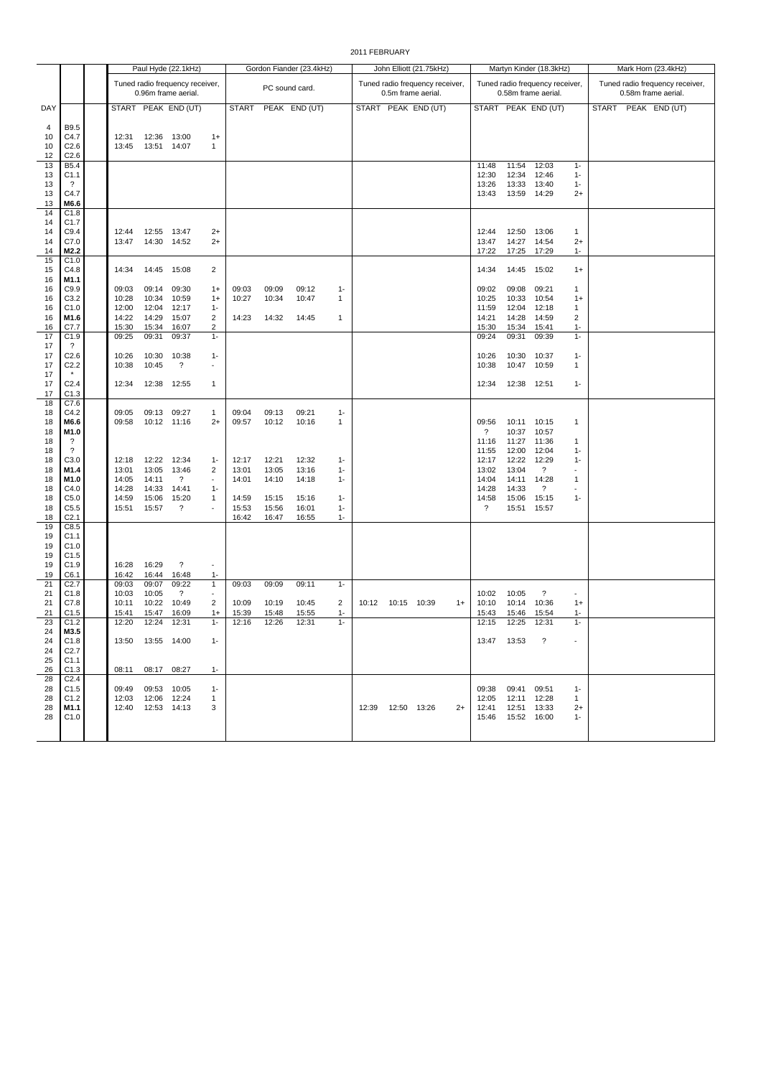|                                                                                              |                                                                                                                                       |                                                                                        |                                                                                        | Paul Hyde (22.1kHz)                                                                    |                                                                        |                                           | Gordon Fiander (23.4kHz)                  |                                           |                                          | John Elliott (21.75kHz) |                     |                                                       |      | Martyn Kinder (18.3kHz)                                                                         |                                                                                                 | Mark Horn (23.4kHz)                                                                             |                                                                                                               |                                                        |  |               |  |  |
|----------------------------------------------------------------------------------------------|---------------------------------------------------------------------------------------------------------------------------------------|----------------------------------------------------------------------------------------|----------------------------------------------------------------------------------------|----------------------------------------------------------------------------------------|------------------------------------------------------------------------|-------------------------------------------|-------------------------------------------|-------------------------------------------|------------------------------------------|-------------------------|---------------------|-------------------------------------------------------|------|-------------------------------------------------------------------------------------------------|-------------------------------------------------------------------------------------------------|-------------------------------------------------------------------------------------------------|---------------------------------------------------------------------------------------------------------------|--------------------------------------------------------|--|---------------|--|--|
|                                                                                              |                                                                                                                                       |                                                                                        |                                                                                        | Tuned radio frequency receiver,<br>0.96m frame aerial.                                 |                                                                        |                                           | PC sound card.                            |                                           |                                          |                         |                     | Tuned radio frequency receiver,<br>0.5m frame aerial. |      |                                                                                                 |                                                                                                 | Tuned radio frequency receiver,<br>0.58m frame aerial.                                          |                                                                                                               | Tuned radio frequency receiver,<br>0.58m frame aerial. |  |               |  |  |
| DAY                                                                                          |                                                                                                                                       |                                                                                        |                                                                                        | START PEAK END (UT)                                                                    |                                                                        | <b>START</b>                              |                                           | PEAK END (UT)                             |                                          |                         |                     | START PEAK END (UT)                                   |      |                                                                                                 |                                                                                                 | START PEAK END (UT)                                                                             |                                                                                                               | <b>START</b>                                           |  | PEAK END (UT) |  |  |
| 4<br>10<br>10<br>12                                                                          | B9.5<br>C4.7<br>C <sub>2.6</sub><br>C2.6                                                                                              | 12:31<br>13:45                                                                         | 12:36<br>13:51                                                                         | 13:00<br>14:07                                                                         | $1+$<br>$\mathbf{1}$                                                   |                                           |                                           |                                           |                                          |                         |                     |                                                       |      |                                                                                                 |                                                                                                 |                                                                                                 |                                                                                                               |                                                        |  |               |  |  |
| 13<br>13<br>13<br>13<br>13                                                                   | B <sub>5.4</sub><br>C <sub>1.1</sub><br>$\gamma$<br>C4.7<br>M6.6                                                                      |                                                                                        |                                                                                        |                                                                                        |                                                                        |                                           |                                           |                                           |                                          |                         |                     |                                                       |      | 11:48<br>12:30<br>13:26<br>13:43                                                                | 11:54<br>12:34<br>13:33<br>13:59                                                                | 12:03<br>12:46<br>13:40<br>14:29                                                                | $1 -$<br>$1 -$<br>$1 -$<br>$2+$                                                                               |                                                        |  |               |  |  |
| 14<br>14<br>14<br>14<br>14<br>15<br>15<br>16<br>16<br>16<br>16<br>16<br>16<br>17<br>17<br>17 | C1.8<br>C1.7<br>C9.4<br>C7.0<br>M2.2<br>C1.0<br>C4.8<br>M1.1<br>C9.9<br>C3.2<br>C1.0<br>M1.6<br>C7.7<br>C1.9<br>?<br>C <sub>2.6</sub> | 12:44<br>13:47<br>14:34<br>09:03<br>10:28<br>12:00<br>14:22<br>15:30<br>09:25<br>10:26 | 12:55<br>14:30<br>14:45<br>09:14<br>10:34<br>12:04<br>14:29<br>15:34<br>09:31<br>10:30 | 13:47<br>14:52<br>15:08<br>09:30<br>10:59<br>12:17<br>15:07<br>16:07<br>09:37<br>10:38 | $2+$<br>$2+$<br>2<br>$1+$<br>$1+$<br>$1 -$<br>2<br>2<br>$1 -$<br>$1 -$ | 09:03<br>10:27<br>14:23                   | 09:09<br>10:34<br>14:32                   | 09:12<br>10:47<br>14:45                   | $1 -$<br>$\mathbf{1}$<br>$\mathbf{1}$    |                         |                     |                                                       |      | 12:44<br>13:47<br>17:22<br>14:34<br>09:02<br>10:25<br>11:59<br>14:21<br>15:30<br>09:24<br>10:26 | 12:50<br>14:27<br>17:25<br>14:45<br>09:08<br>10:33<br>12:04<br>14:28<br>15:34<br>09:31<br>10:30 | 13:06<br>14:54<br>17:29<br>15:02<br>09:21<br>10:54<br>12:18<br>14:59<br>15:41<br>09:39<br>10:37 | $\mathbf{1}$<br>$2+$<br>$1 -$<br>$1+$<br>$\mathbf{1}$<br>$1+$<br>$\mathbf{1}$<br>2<br>$1 -$<br>$1 -$<br>$1 -$ |                                                        |  |               |  |  |
| 17<br>17<br>17<br>17<br>18                                                                   | C <sub>2.2</sub><br>C <sub>2.4</sub><br>C1.3<br>C7.6                                                                                  | 10:38<br>12:34                                                                         | 10:45<br>12:38                                                                         | $\overline{?}$<br>12:55                                                                | $\sim$<br>$\mathbf{1}$                                                 |                                           |                                           |                                           |                                          |                         |                     |                                                       |      | 10:38<br>12:34                                                                                  | 10:47<br>12:38                                                                                  | 10:59<br>12:51                                                                                  | $\mathbf{1}$<br>$1 -$                                                                                         |                                                        |  |               |  |  |
| 18<br>18<br>18<br>18<br>18<br>18                                                             | C4.2<br>M6.6<br>M1.0<br>?<br>$\overline{\mathcal{E}}$<br>C3.0                                                                         | 09:05<br>09:58<br>12:18                                                                | 09:13<br>12:22                                                                         | 09:27<br>10:12 11:16<br>12:34                                                          | 1<br>$2+$<br>$1 -$                                                     | 09:04<br>09:57<br>12:17                   | 09:13<br>10:12<br>12:21                   | 09:21<br>10:16<br>12:32                   | $1 -$<br>$\mathbf{1}$<br>$1 -$           |                         |                     |                                                       |      | 09:56<br>$\overline{\phantom{a}}$<br>11:16<br>11:55<br>12:17                                    | 10:11<br>10:37<br>11:27<br>12:00<br>12:22                                                       | 10:15<br>10:57<br>11:36<br>12:04<br>12:29                                                       | 1<br>$\mathbf{1}$<br>$1 -$<br>$1 -$                                                                           |                                                        |  |               |  |  |
| 18<br>18<br>18<br>18<br>18<br>18                                                             | M1.4<br>M1.0<br>C4.0<br>C5.0<br>C5.5<br>C <sub>2.1</sub>                                                                              | 13:01<br>14:05<br>14:28<br>14:59<br>15:51                                              | 13:05<br>14:11<br>14:33<br>15:06<br>15:57                                              | 13:46<br>$\overline{\mathcal{E}}$<br>14:41<br>15:20<br>$\overline{\mathcal{E}}$        | 2<br>$\sim$<br>$1 -$<br>$\mathbf{1}$                                   | 13:01<br>14:01<br>14:59<br>15:53<br>16:42 | 13:05<br>14:10<br>15:15<br>15:56<br>16:47 | 13:16<br>14:18<br>15:16<br>16:01<br>16:55 | $1 -$<br>$1 -$<br>$1-$<br>$1 -$<br>$1 -$ |                         |                     |                                                       |      | 13:02<br>14:04<br>14:28<br>14:58<br>?                                                           | 13:04<br>14:11<br>14:33<br>15:06<br>15:51                                                       | $\overline{\cdot}$<br>14:28<br>?<br>15:15<br>15:57                                              | $\mathbf{1}$<br>$1 -$                                                                                         |                                                        |  |               |  |  |
| 19<br>19<br>19<br>19<br>19<br>19                                                             | C8.5<br>C1.1<br>C1.0<br>C1.5<br>C1.9<br>C6.1                                                                                          | 16:28<br>16:42                                                                         | 16:29<br>16:44                                                                         | $\overline{\cdot}$<br>16:48                                                            | $1 -$                                                                  |                                           |                                           |                                           |                                          |                         |                     |                                                       |      |                                                                                                 |                                                                                                 |                                                                                                 |                                                                                                               |                                                        |  |               |  |  |
| 21<br>21<br>21<br>21                                                                         | C <sub>2.7</sub><br>C1.8<br>C7.8<br>C1.5                                                                                              | 09:03<br>10:03<br>10:11<br>15:41                                                       | 09:07<br>10:05<br>10:22<br>15:47                                                       | 09:22<br>$\ddot{?}$<br>10:49<br>16:09                                                  | $\mathbf{1}$<br>$\overline{\phantom{a}}$<br>$\overline{2}$<br>$1+$     | 09:03<br>10:09<br>15:39                   | 09:09<br>10:19<br>15:48                   | 09:11<br>10:45<br>15:55                   | $1 -$<br>2<br>$1 -$                      | 10:12                   | 10:15 10:39         |                                                       | $1+$ | 10:02<br>10:10<br>15:43                                                                         | 10:05<br>10:14<br>15:46                                                                         | $\overline{\cdot}$<br>10:36<br>15:54                                                            | $1+$<br>$1 -$                                                                                                 |                                                        |  |               |  |  |
| 23<br>24<br>24<br>24<br>25<br>26                                                             | C1.2<br>M3.5<br>C1.8<br>C <sub>2.7</sub><br>C1.1<br>C1.3                                                                              | 12:20                                                                                  | 12:24<br>13:50  13:55  14:00<br>08:11 08:17 08:27                                      | 12:31                                                                                  | $1 -$<br>$1 -$<br>$1 -$                                                | 12:16                                     | 12:26                                     | 12:31                                     | $1 -$                                    |                         |                     |                                                       |      | 12:15                                                                                           | 12:25<br>13:47 13:53 ?                                                                          | 12:31                                                                                           | $1 -$                                                                                                         |                                                        |  |               |  |  |
| 28<br>28<br>28<br>28<br>28                                                                   | C <sub>2.4</sub><br>C <sub>1.5</sub><br>C1.2<br>M1.1<br>C1.0                                                                          |                                                                                        | 09:49 09:53 10:05<br>12:03  12:06  12:24<br>12:40  12:53  14:13                        |                                                                                        | $1 -$<br>$\mathbf{1}$<br>3                                             |                                           |                                           |                                           |                                          |                         | 12:39  12:50  13:26 |                                                       | $2+$ |                                                                                                 | 09:38 09:41 09:51<br>12:05  12:11  12:28<br>12:41  12:51  13:33<br>15:46  15:52  16:00          |                                                                                                 | $1 -$<br>$\mathbf{1}$<br>$2+$<br>$1 -$                                                                        |                                                        |  |               |  |  |

2011 FEBRUARY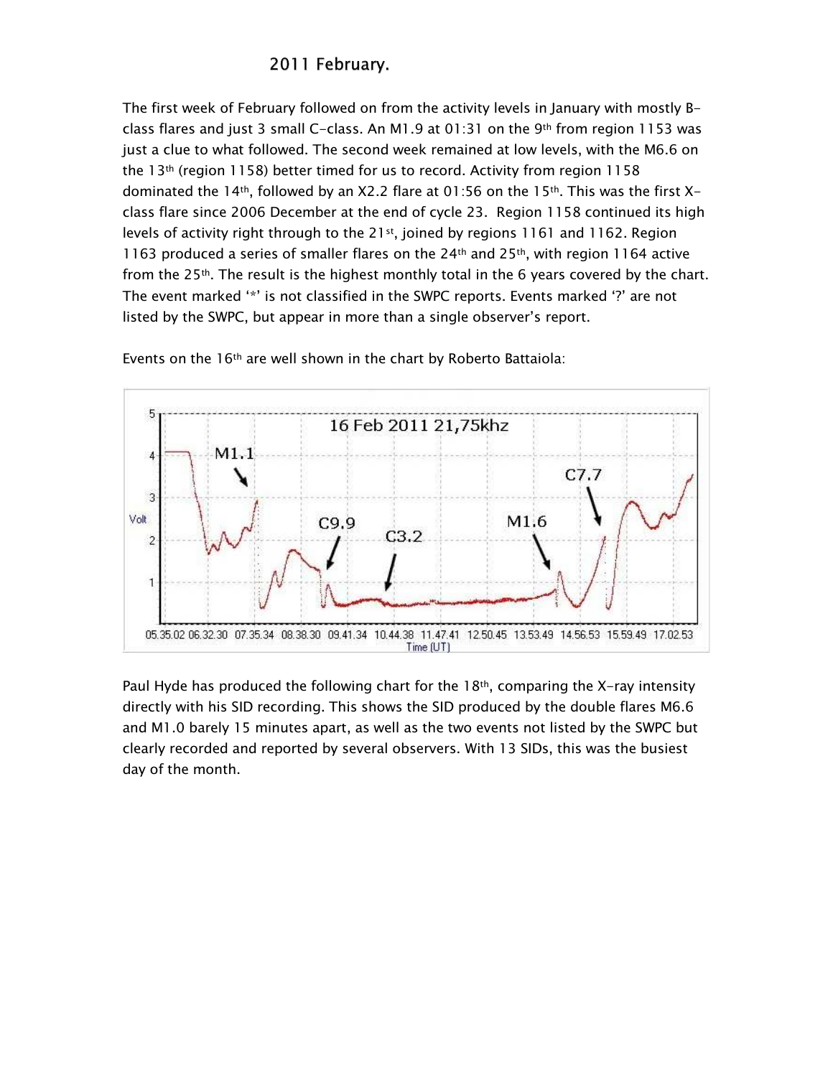## 2011 February.

The first week of February followed on from the activity levels in January with mostly Bclass flares and just 3 small C-class. An M1.9 at 01:31 on the 9<sup>th</sup> from region 1153 was just a clue to what followed. The second week remained at low levels, with the M6.6 on the 13<sup>th</sup> (region 1158) better timed for us to record. Activity from region 1158 dominated the 14<sup>th</sup>, followed by an X2.2 flare at 01:56 on the 15<sup>th</sup>. This was the first Xclass flare since 2006 December at the end of cycle 23. Region 1158 continued its high levels of activity right through to the  $21st$ , joined by regions 1161 and 1162. Region 1163 produced a series of smaller flares on the 24<sup>th</sup> and 25<sup>th</sup>, with region 1164 active from the 25<sup>th</sup>. The result is the highest monthly total in the 6 years covered by the chart. The event marked '\*' is not classified in the SWPC reports. Events marked '?' are not listed by the SWPC, but appear in more than a single observer's report.



Events on the 16<sup>th</sup> are well shown in the chart by Roberto Battaiola:

Paul Hyde has produced the following chart for the  $18<sup>th</sup>$ , comparing the X-ray intensity directly with his SID recording. This shows the SID produced by the double flares M6.6 and M1.0 barely 15 minutes apart, as well as the two events not listed by the SWPC but clearly recorded and reported by several observers. With 13 SIDs, this was the busiest day of the month.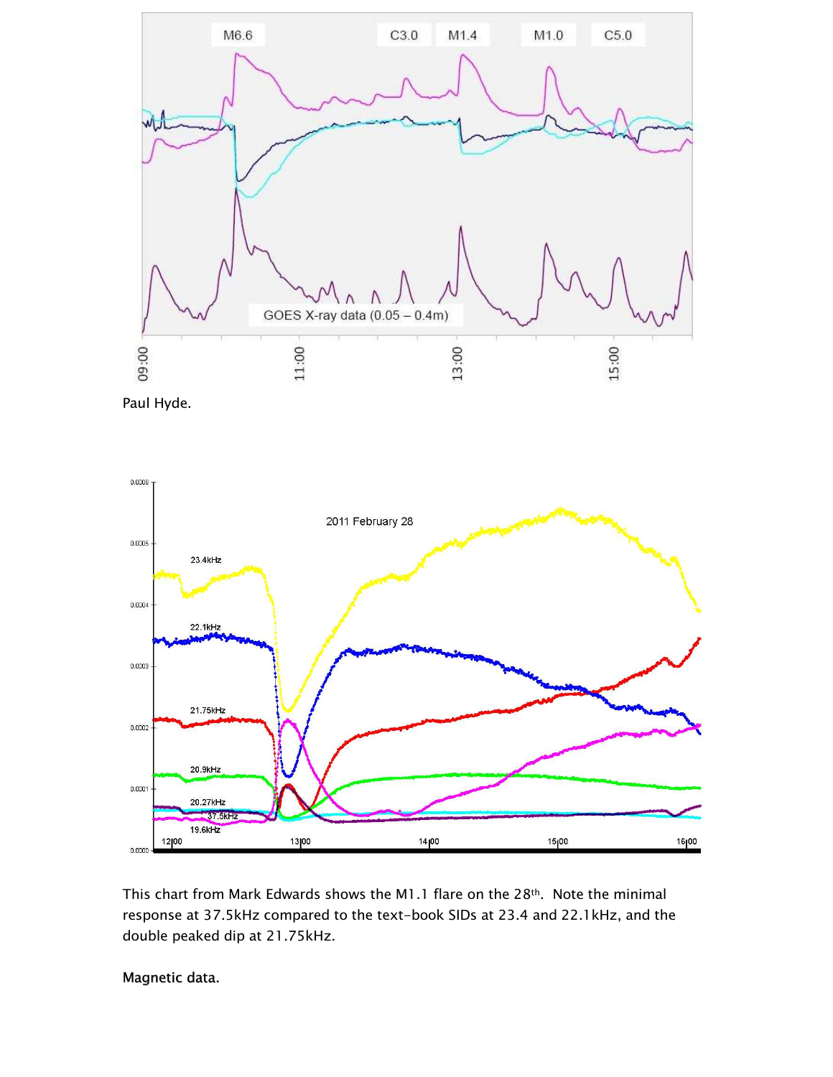





This chart from Mark Edwards shows the M1.1 flare on the 28<sup>th</sup>. Note the minimal response at 37.5kHz compared to the text-book SIDs at 23.4 and 22.1kHz, and the double peaked dip at 21.75kHz.

## Magnetic data.